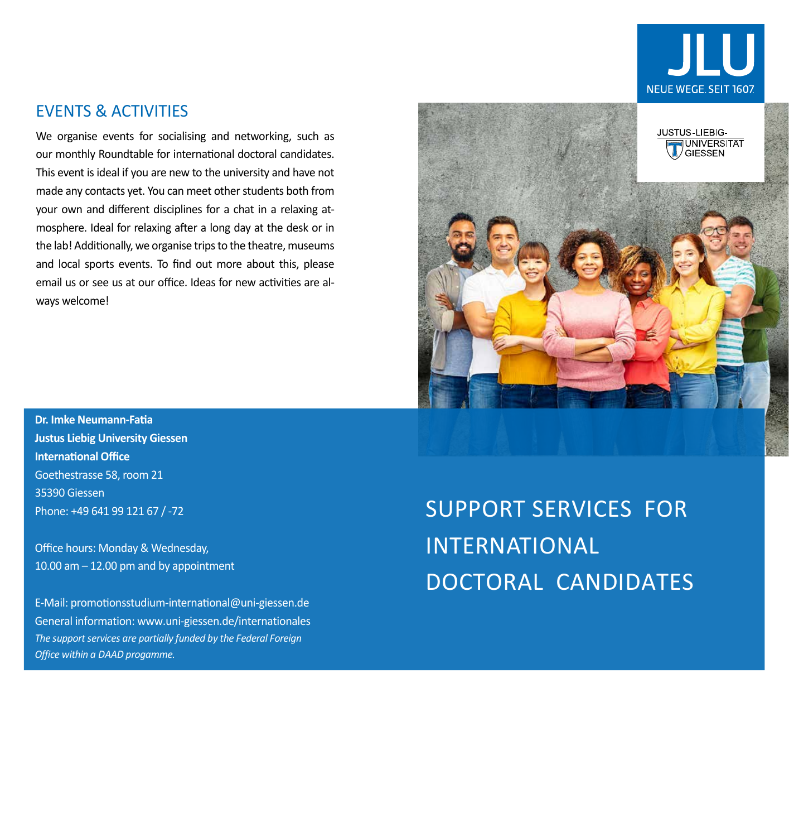

## EVENTS & ACTIVITIES

We organise events for socialising and networking, such as our monthly Roundtable for international doctoral candidates. This event is ideal if you are new to the university and have not made any contacts yet. You can meet other students both from your own and different disciplines for a chat in a relaxing atmosphere. Ideal for relaxing after a long day at the desk or in the lab! Additionally, we organise trips to the theatre, museums and local sports events. To find out more about this, please email us or see us at our office. Ideas for new activities are always welcome!

**Dr. Imke Neumann-Fatia Justus Liebig University Giessen International Office** Goethestrasse 58, room 21 35390 Giessen Phone: +49 641 99 121 67 / -72

Office hours: Monday & Wednesday, 10.00 am – 12.00 pm and by appointment

E-Mail: promotionsstudium-international@uni-giessen.de General information: www.uni-giessen.de/internationales *The support services are partially funded by the Federal Foreign Office within a DAAD progamme.*



SUPPORT SERVICES FOR INTERNATIONAL DOCTORAL CANDIDATES